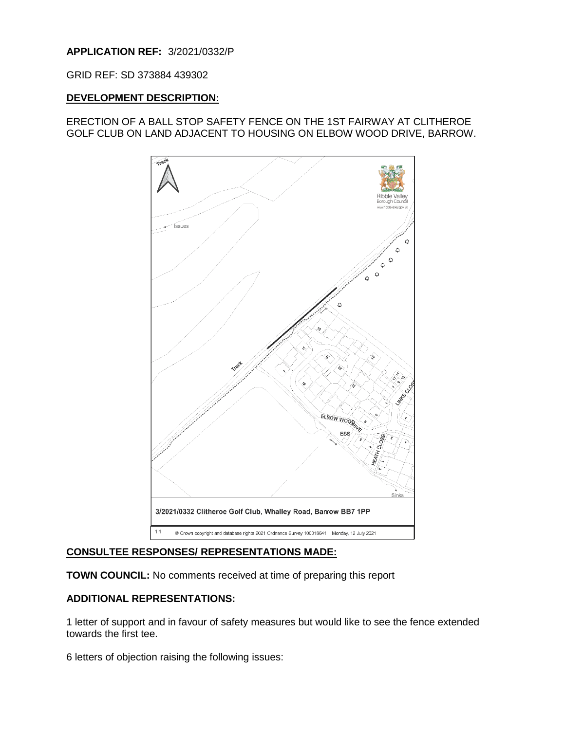# **APPLICATION REF:** 3/2021/0332/P

GRID REF: SD 373884 439302

### **DEVELOPMENT DESCRIPTION:**

# ERECTION OF A BALL STOP SAFETY FENCE ON THE 1ST FAIRWAY AT CLITHEROE GOLF CLUB ON LAND ADJACENT TO HOUSING ON ELBOW WOOD DRIVE, BARROW.



# **CONSULTEE RESPONSES/ REPRESENTATIONS MADE:**

**TOWN COUNCIL:** No comments received at time of preparing this report

# **ADDITIONAL REPRESENTATIONS:**

1 letter of support and in favour of safety measures but would like to see the fence extended towards the first tee.

6 letters of objection raising the following issues: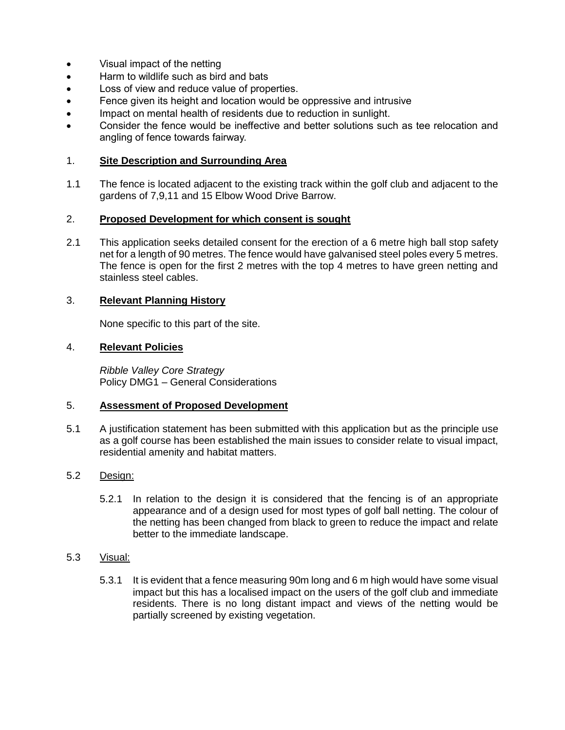- Visual impact of the netting
- Harm to wildlife such as bird and bats
- Loss of view and reduce value of properties.
- Fence given its height and location would be oppressive and intrusive
- Impact on mental health of residents due to reduction in sunlight.
- Consider the fence would be ineffective and better solutions such as tee relocation and angling of fence towards fairway.

# 1. **Site Description and Surrounding Area**

1.1 The fence is located adjacent to the existing track within the golf club and adjacent to the gardens of 7,9,11 and 15 Elbow Wood Drive Barrow.

#### 2. **Proposed Development for which consent is sought**

2.1 This application seeks detailed consent for the erection of a 6 metre high ball stop safety net for a length of 90 metres. The fence would have galvanised steel poles every 5 metres. The fence is open for the first 2 metres with the top 4 metres to have green netting and stainless steel cables.

### 3. **Relevant Planning History**

None specific to this part of the site.

### 4. **Relevant Policies**

*Ribble Valley Core Strategy*  Policy DMG1 – General Considerations

### 5. **Assessment of Proposed Development**

5.1 A justification statement has been submitted with this application but as the principle use as a golf course has been established the main issues to consider relate to visual impact, residential amenity and habitat matters.

# 5.2 Design:

5.2.1 In relation to the design it is considered that the fencing is of an appropriate appearance and of a design used for most types of golf ball netting. The colour of the netting has been changed from black to green to reduce the impact and relate better to the immediate landscape.

#### 5.3 Visual:

5.3.1 It is evident that a fence measuring 90m long and 6 m high would have some visual impact but this has a localised impact on the users of the golf club and immediate residents. There is no long distant impact and views of the netting would be partially screened by existing vegetation.